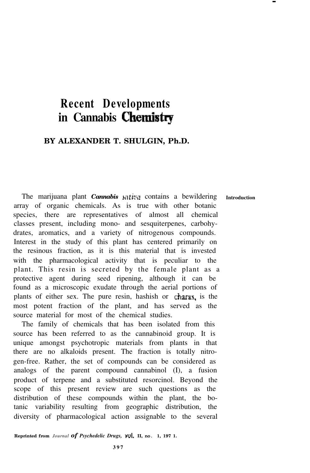## **Recent Developments in Cannabis Chemistry**

## **BY ALEXANDER T. SHULGIN, Ph.D.**

The marijuana plant *Cannabis sativa* contains a bewildering **Introduction** array of organic chemicals. As is true with other botanic species, there are representatives of almost all chemical classes present, including mono- and sesquiterpenes, carbohydrates, aromatics, and a variety of nitrogenous compounds. Interest in the study of this plant has centered primarily on the resinous fraction, as it is this material that is invested with the pharmacological activity that is peculiar to the plant. This resin is secreted by the female plant as a protective agent during seed ripening, although it can be found as a microscopic exudate through the aerial portions of plants of either sex. The pure resin, hashish or charas, is the most potent fraction of the plant, and has served as the source material for most of the chemical studies.

The family of chemicals that has been isolated from this source has been referred to as the cannabinoid group. It is unique amongst psychotropic materials from plants in that there are no alkaloids present. The fraction is totally nitrogen-free. Rather, the set of compounds can be considered as analogs of the parent compound cannabinol (I), a fusion product of terpene and a substituted resorcinol. Beyond the scope of this present review are such questions as the distribution of these compounds within the plant, the botanic variability resulting from geographic distribution, the diversity of pharmacological action assignable to the several

**Reprinted from** *Journal of Psychedelic Drugs,* **vol. II, no. 1, 197 1.**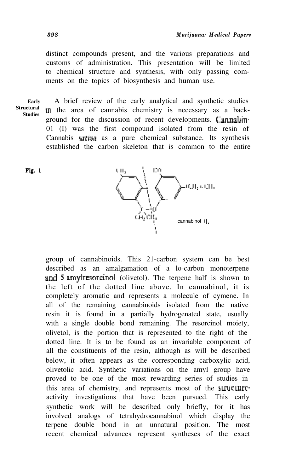distinct compounds present, and the various preparations and customs of administration. This presentation will be limited to chemical structure and synthesis, with only passing comments on the topics of biosynthesis and human use.

**Structural . Studies**

**Early** A brief review of the early analytical and synthetic studies m the area of cannabis chemistry is necessary as a background for the discussion of recent developments. Cannabin-01 (I) was the first compound isolated from the resin of Cannabis surviva as a pure chemical substance. Its synthesis established the carbon skeleton that is common to the entire

Fig. 1



group of cannabinoids. This 21-carbon system can be best described as an amalgamation of a lo-carbon monoterpene .and 5amylresorcinol (olivetol). The terpene half is shown to the left of the dotted line above. In cannabinol, it is completely aromatic and represents a molecule of cymene. In all of the remaining cannabinoids isolated from the native resin it is found in a partially hydrogenated state, usually with a single double bond remaining. The resorcinol moiety, olivetol, is the portion that is represented to the right of the dotted line. It is to be found as an invariable component of all the constituents of the resin, although as will be described below, it often appears as the corresponding carboxylic acid, olivetolic acid. Synthetic variations on the amyl group have proved to be one of the most rewarding series of studies in this area of chemistry, and represents most of the survey unit. activity investigations that have been pursued. This early synthetic work will be described only briefly, for it has involved analogs of tetrahydrocannabinol which display the terpene double bond in an unnatural position. The most recent chemical advances represent syntheses of the exact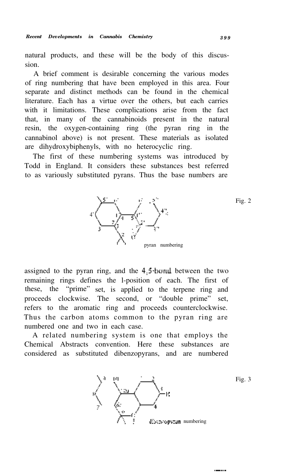4'

natural products, and these will be the body of this discussion.

A brief comment is desirable concerning the various modes of ring numbering that have been employed in this area. Four separate and distinct methods can be found in the chemical literature. Each has a virtue over the others, but each carries with it limitations. These complications arise from the fact that, in many of the cannabinoids present in the natural resin, the oxygen-containing ring (the pyran ring in the cannabinol above) is not present. These materials as isolated are dihydroxybiphenyls, with no heterocyclic ring.

The first of these numbering systems was introduced by Todd in England. It considers these substances best referred to as variously substituted pyrans. Thus the base numbers are

assigned to the pyran ring, and the 4,5-bond between the two remaining rings defines the l-position of each. The first of these, the "prime" set, is applied to the terpene ring and proceeds clockwise. The second, or "double prime" set, refers to the aromatic ring and proceeds counterclockwise. Thus the carbon atoms common to the pyran ring are numbered one and two in each case.

A related numbering system is one that employs the Chemical Abstracts convention. Here these substances are considered as substituted dibenzopyrans, and are numbered



pyran numbering

Fig. 3

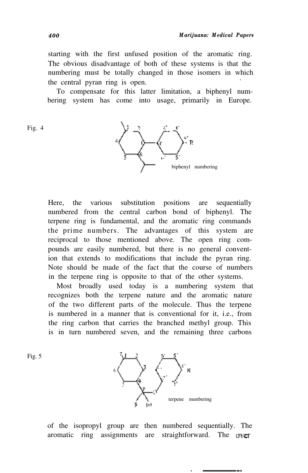starting with the first unfused position of the aromatic ring. The obvious disadvantage of both of these systems is that the numbering must be totally changed in those isomers in which the central pyran ring is open.

To compensate for this latter limitation, a biphenyl numbering system has come into usage, primarily in Europe.

Fig. 4



Here, the various substitution positions are sequentially numbered from the central carbon bond of biphenyl. The terpene ring is fundamental, and the aromatic ring commands the prime numbers. The advantages of this system are reciprocal to those mentioned above. The open ring compounds are easily numbered, but there is no general convention that extends to modifications that include the pyran ring. Note should be made of the fact that the course of numbers in the terpene ring is opposite to that of the other systems.

Most broadly used today is a numbering system that recognizes both the terpene nature and the aromatic nature of the two different parts of the molecule. Thus the terpene is numbered in a manner that is conventional for it, i.e., from the ring carbon that carries the branched methyl group. This is in turn numbered seven, and the remaining three carbons





of the isopropyl group are then numbered sequentially. The aromatic ring assignments are straightforward. The over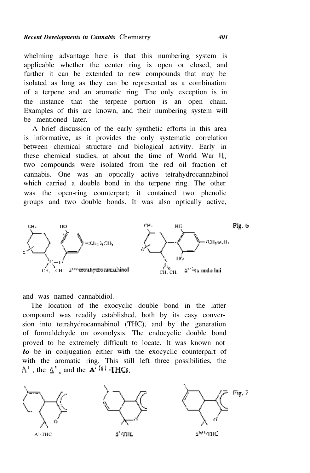whelming advantage here is that this numbering system is applicable whether the center ring is open or closed, and further it can be extended to new compounds that may be isolated as long as they can be represented as a combination of a terpene and an aromatic ring. The only exception is in the instance that the terpene portion is an open chain. Examples of this are known, and their numbering system will be mentioned later.

A brief discussion of the early synthetic efforts in this area is informative, as it provides the only systematic correlation between chemical structure and biological activity. Early in these chemical studies, at about the time of World War II, two compounds were isolated from the red oil fraction of cannabis. One was an optically active tetrahydrocannabinol which carried a double bond in the terpene ring. The other was the open-ring counterpart; it contained two phenolic groups and two double bonds. It was also optically active,



and was named cannabidiol.

The location of the exocyclic double bond in the latter compound was readily established, both by its easy conversion into tetrahydrocannabinol (THC), and by the generation of formaldehyde on ozonolysis. The endocyclic double bond proved to be extremely difficult to locate. It was known not *to* be in conjugation either with the exocyclic counterpart of with the aromatic ring. This still left three possibilities, the  $\Lambda^1$ , the  $\Lambda^2$ , and the  $\Lambda^2$ <sup>(6)</sup> -THCs.

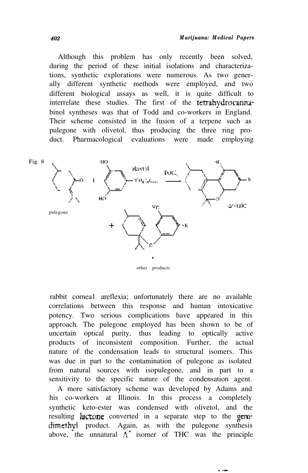Although this problem has only recently been solved, during the period of these initial isolations and characterizations, synthetic explorations were numerous. As two generally different synthetic methods were employed, and two different biological assays as well, it is quite difficult to interrelate these studies. The first of the tetrahydrocannabinol syntheses was that of Todd and co-workers in England. Their scheme consisted in the fusion of a terpene such as pulegone with olivetol, thus producing the three ring product. Pharmacological evaluations were made employing



rabbit cornea1 areflexia; unfortunately there are no available correlations between this response and human intoxicative potency. Two serious complications have appeared in this approach. The pulegone employed has been shown to be of uncertain optical purity, thus leading to optically active products of inconsistent composition. Further, the actual nature of the condensation leads to structural isomers. This was due in part to the contamination of pulegone as isolated from natural sources with isopulegone, and in part to a sensitivity to the specific nature of the condensation agent.

A more satisfactory scheme was developed by Adams and his co-workers at Illinois. In this process a completely synthetic keto-ester was condensed with olivetol, and the resulting **lactone** converted in a separate step to the gemdimethyl product. Again, as with the pulegone synthesis above, the unnatural isomer of THC was the principle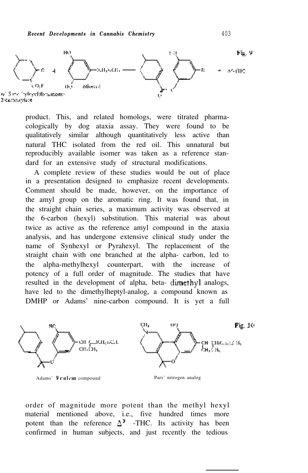

product. This, and related homologs, were titrated pharmacologically by dog ataxia assay. They were found to be qualitatively similar although quantitatively less active than natural THC isolated from the red oil. This unnatural but reproducibly available isomer was taken as a reference standard for an extensive study of structural modifications.

A complete review of these studies would be out of place in a presentation designed to emphasize recent developments. Comment should be made, however, on the importance of the amyl group on the aromatic ring. It was found that, in the straight chain series, a maximum activity was observed at the 6-carbon (hexyl) substitution. This material was about twice as active as the reference amyl compound in the ataxia analysis, and has undergone extensive clinical study under the name of Synhexyl or Pyrahexyl. The replacement of the straight chain with one branched at the alpha- carbon, led to the alpha-methylhexyl counterpart, with the increase of potency of a full order of magnitude. The studies that have resulted in the development of alpha, beta- dimethyl analogs, have led to the dimethylheptyl-analog, a compound known as DMHP or Adams' nine-carbon compound. It is yet a full



order of magnitude more potent than the methyl hexyl material mentioned above, i.e., five hundred times more potent than the reference  $\triangle$ <sup>3</sup> -THC. Its activity has been confirmed in human subjects, and just recently the tedious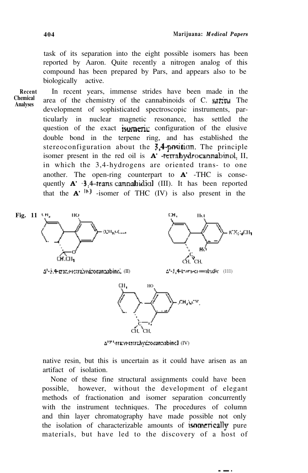task of its separation into the eight possible isomers has been reported by Aaron. Quite recently a nitrogen analog of this compound has been prepared by Pars, and appears also to be biologically active.

**Recent Chemical**

In recent years, immense strides have been made in the **Analyses** area of the chemistry of the cannabinoids of C. sativa. The development of sophisticated spectroscopic instruments, particularly in nuclear magnetic resonance, has settled the question of the exact **isomeric** configuration of the elusive double bond in the terpene ring, and has established the stereoconfiguration about the  $3.4$ -position. The principle isomer present in the red oil is A' -terrahydrocannabinol, II, in which the 3,4-hydrogens are oriented trans- to one another. The open-ring counterpart to A' -THC is consequently  $A'$   $\rightarrow$  4-trans cannabidiol (III). It has been reported





A'-3,4-trans-cannabidiol (111)

 $\sim$   $\sim$ 



A'c6'-trans-tetrahydrocannabinol (IV)

native resin, but this is uncertain as it could have arisen as an artifact of isolation.

None of these fine structural assignments could have been possible, however, without the development of elegant methods of fractionation and isomer separation concurrently with the instrument techniques. The procedures of column and thin layer chromatography have made possible not only the isolation of characterizable amounts of **isomerically** pure materials, but have led to the discovery of a host of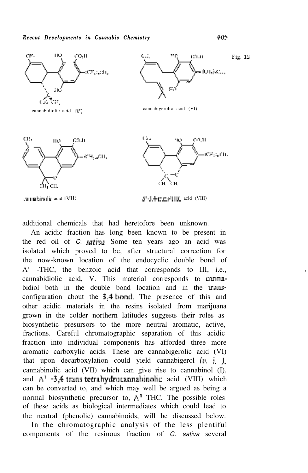





ou

experti

cannabigerolic acid (VI)



cannabinolic acid (VII)

A'-3,4-trans-'1'HC acid (VIII)

 $\sim$   $^{-1}$ CH, CH,

additional chemicals that had heretofore been unknown.

An acidic fraction has long been known to be present in the red oil of *C.* sating Some ten years ago an acid was isolated which proved to be, after structural correction for the now-known location of the endocyclic double bond of A' -THC, the benzoic acid that corresponds to III, i.e., cannabidiolic acid, V. This material corresponds to cannabidiol both in the double bond location and in the uransconfiguration about the **3.4**-bond. The presence of this and other acidic materials in the resins isolated from marijuana grown in the colder northern latitudes suggests their roles as biosynthetic presursors to the more neutral aromatic, active, fractions. Careful chromatographic separation of this acidic fraction into individual components has afforded three more aromatic carboxylic acids. These are cannabigerolic acid (VI) that upon decarboxylation could yield cannabigerol (v. i. ), cannabinolic acid (VII) which can give rise to cannabinol (I), and  $A<sup>1</sup> -3.4$  trans-tetrahydrocannabinolic acid (VIII) which can be converted to, and which may well be argued as being a normal biosynthetic precursor to,  $\mathcal{N}$ <sup>1</sup> THC. The possible roles of these acids as biological intermediates which could lead to the neutral (phenolic) cannabinoids, will be discussed below.

In the chromatographic analysis of the less plentiful components of the resinous fraction of *C. sativa* several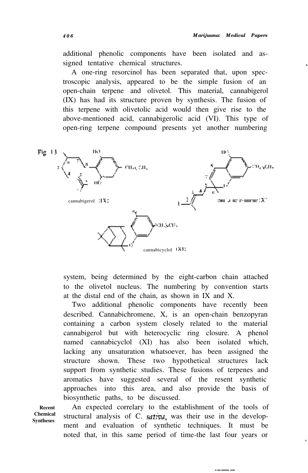additional phenolic components have been isolated and assigned tentative chemical structures.

A one-ring resorcinol has been separated that, upon spectroscopic analysis, appeared to be the simple fusion of an open-chain terpene and olivetol. This material, cannabigerol (IX) has had its structure proven by synthesis. The fusion of this terpene with olivetolic acid would then give rise to the above-mentioned acid, cannabigerolic acid (VI). This type of open-ring terpene compound presents yet another numbering



system, being determined by the eight-carbon chain attached to the olivetol nucleus. The numbering by convention starts at the distal end of the chain, as shown in IX and X.

Two additional phenolic components have recently been described. Cannabichromene, X, is an open-chain benzopyran containing a carbon system closely related to the material cannabigerol but with heterocyclic ring closure. A phenol named cannabicyclol (XI) has also been isolated which, lacking any unsaturation whatsoever, has been assigned the structure shown. These two hypothetical structures lack support from synthetic studies. These fusions of terpenes and aromatics have suggested several of the resent synthetic approaches into this area, and also provide the basis of biosynthetic paths, to be discussed.

**Recent Chemical Syntheses**

An expected correlary to the establishment of the tools of structural analysis of C. sativa, was their use in the development and evaluation of synthetic techniques. It must be noted that, in this same period of time-the last four years or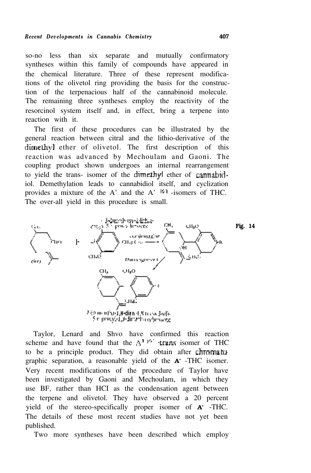so-no less than six separate and mutually confirmatory syntheses within this family of compounds have appeared in the chemical literature. Three of these represent modifications of the olivetol ring providing the basis for the construction of the terpenacious half of the cannabinoid molecule. The remaining three syntheses employ the reactivity of the resorcinol system itself and, in effect, bring a terpene into reaction with it.

The first of these procedures can be illustrated by the general reaction between citral and the lithio-derivative of the dimethyl ether of olivetol. The first description of this reaction was advanced by Mechoulam and Gaoni. The coupling product shown undergoes an internal rearrangement to yield the trans- isomer of the dimethyl ether of cannabidiol. Demethylation leads to cannabidiol itself, and cyclization provides a mixture of the A' and the A'  $\overline{6}$  -isomers of THC. The over-all yield in this procedure is small.



Taylor, Lenard and Shvo have confirmed this reaction scheme and have found that the  $A<sup>1</sup>$  LEER isomer of THC to be a principle product. They did obtain after chromatographic separation, a reasonable yield of the A' -THC isomer. Very recent modifications of the procedure of Taylor have been investigated by Gaoni and Mechoulam, in which they use BF, rather than HCI as the condensation agent between the terpene and olivetol. They have observed a 20 percent yield of the stereo-specifically proper isomer of A' -THC. The details of these most recent studies have not yet been published.

Two more syntheses have been described which employ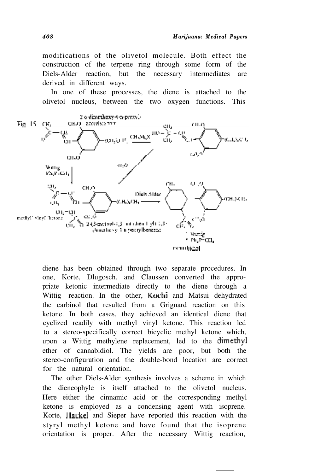modifications of the olivetol molecule. Both effect the construction of the terpene ring through some form of the Diels-Alder reaction, but the necessary intermediates are derived in different ways.

In one of these processes, the diene is attached to the olivetol nucleus, between the two oxygen functions. This



diene has been obtained through two separate procedures. In one, Korte, Dlugosch, and Claussen converted the appropriate ketonic intermediate directly to the diene through a Wittig reaction. In the other, Kurthi and Matsui dehydrated the carbinol that resulted from a Grignard reaction on this ketone. In both cases, they achieved an identical diene that cyclized readily with methyl vinyl ketone. This reaction led to a stereo-specifically correct bicyclic methyl ketone which, upon a Wittig methylene replacement, led to the dimethyl ether of cannabidiol. The yields are poor, but both the stereo-configuration and the double-bond location are correct for the natural orientation.

The other Diels-Alder synthesis involves a scheme in which the dieneophyle is itself attached to the olivetol nucleus. Here either the cinnamic acid or the corresponding methyl ketone is employed as a condensing agent with isoprene. Korte, **Hackel** and Sieper have reported this reaction with the styryl methyl ketone and have found that the isoprene orientation is proper. After the necessary Wittig reaction,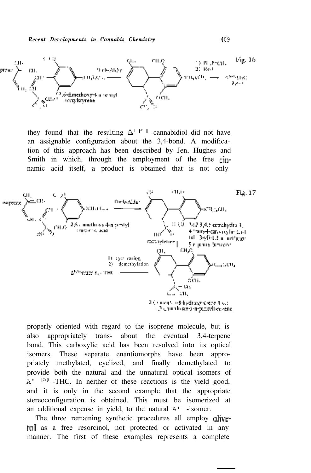*Recent Developments in Cannabis Chemistry* 409



they found that the resulting  $\mathbb{L}^{\mathsf{F}}$  /  $\mathsf{F}$  -cannabidiol did not have an assignable configuration about the 3,4-bond. A modification of this approach has been described by Jen, Hughes and Smith in which, through the employment of the free  $\epsilon_{\text{II}}$ namic acid itself, a product is obtained that is not only



properly oriented with regard to the isoprene molecule, but is also appropriately trans- about the eventual 3,4-terpene bond. This carboxylic acid has been resolved into its optical isomers. These separate enantiomorphs have been appropriately methylated, cyclized, and finally demethylated to provide both the natural and the unnatural optical isomers of  $A'$  <sup>14)</sup> -THC. In neither of these reactions is the yield good, and it is only in the second example that the appropriate stereoconfiguration is obtained. This must be isomerized at an additional expense in yield, to the natural A' -isomer.

The three remaining synthetic procedures all employ oliveto1 as a free resorcinol, not protected or activated in any manner. The first of these examples represents a complete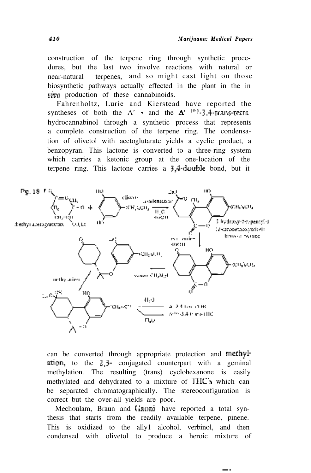construction of the terpene ring through synthetic procedures, but the last two involve reactions with natural or near-natural terpenes, and so might cast light on those biosynthetic pathways actually effected in the plant in the in  $\vec{v}$  production of these cannabinoids.

Fahrenholtz, Lurie and Kierstead have reported the syntheses of both the A'  $\cdot$  and the A' (6)-3,4-trans-tetrahydrocannabinol through a synthetic process that represents a complete construction of the terpene ring. The condensation of olivetol with acetoglutarate yields a cyclic product, a benzopyran. This lactone is converted to a three-ring system which carries a ketonic group at the one-location of the terpene ring. This lactone carries a 3,4-double bond, but it



can be converted through appropriate protection and methylation, to the 2.3- conjugated counterpart with a geminal methylation. The resulting (trans) cyclohexanone is easily methylated and dehydrated to a mixture of THC's which can be separated chromatographically. The stereoconfiguration is correct but the over-all yields are poor.

Mechoulam, Braun and Gaoni, have reported a total synthesis that starts from the readily available terpene, pinene. This is oxidized to the ally1 alcohol, verbinol, and then condensed with olivetol to produce a heroic mixture of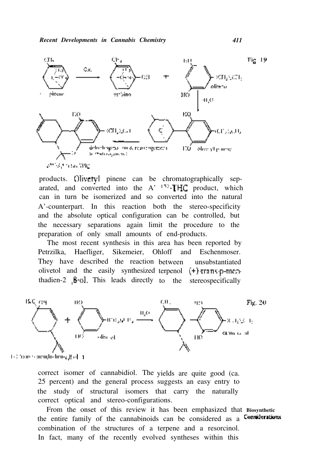

products. Olivetyl pinene can be chromatographically separated, and converted into the  $A'$   $\blacksquare$  THC product, which can in turn be isomerized and so converted into the natural A'-counterpart. In this reaction both the stereo-specificity and the absolute optical configuration can be controlled, but the necessary separations again limit the procedure to the preparation of only small amounts of end-products.

The most recent synthesis in this area has been reported by Petrzilka, Haefliger, Sikemeier, Ohloff and Eschenmoser. They have described the reaction between unsubstantiated olivetol and the easily synthesized terpenol  $(+)$ -trans-p-menthadien-2  $\mathbf{B}$ -0. This leads directly to the stereospecifically



(+)-trans.p-menthadien-2,8-ol -1

correct isomer of cannabidiol. The yields are quite good (ca. 25 percent) and the general process suggests an easy entry to the study of structural isomers that carry the naturally correct optical and stereo-configurations.

From the onset of this review it has been emphasized that **Biosynthetic** the entire family of the cannabinoids can be considered as a Considerations combination of the structures of a terpene and a resorcinol. In fact, many of the recently evolved syntheses within this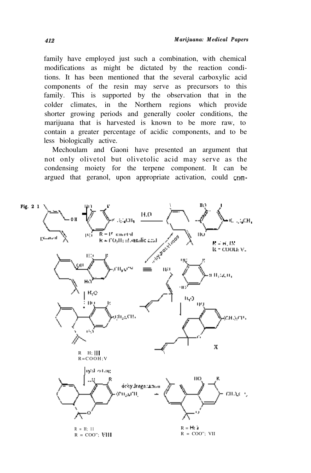family have employed just such a combination, with chemical modifications as might be dictated by the reaction conditions. It has been mentioned that the several carboxylic acid components of the resin may serve as precursors to this family. This is supported by the observation that in the colder climates, in the Northern regions which provide shorter growing periods and generally cooler conditions, the marijuana that is harvested is known to be more raw, to contain a greater percentage of acidic components, and to be less biologically active.

Mechoulam and Gaoni have presented an argument that not only olivetol but olivetolic acid may serve as the condensing moiety for the terpene component. It can be argued that geranol, upon appropriate activation, could  $\mathbb{C}\mathfrak{m}$ -

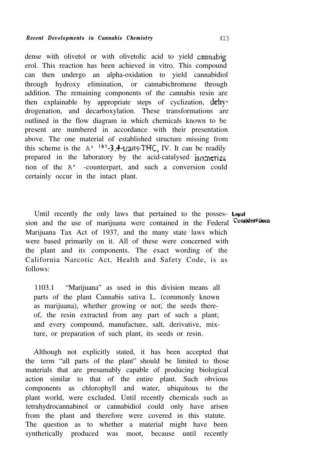dense with olivetol or with olivetolic acid to yield cannabigerol. This reaction has been achieved in vitro. This compound can then undergo an alpha-oxidation to yield cannabidiol through hydroxy elimination, or cannabichromene through addition. The remaining components of the cannabis resin are then explainable by appropriate steps of cyclization, dehydrogenation, and decarboxylation. These transformations are outlined in the flow diagram in which chemicals known to be present are numbered in accordance with their presentation above. The one material of established structure missing from this scheme is the  $A'$  (6)-3,4-trans-THC, IV. It can be readily prepared in the laboratory by the acid-catalysed isomerization of the A' -counterpart, and such a conversion could certainly occur in the intact plant.

Until recently the only laws that pertained to the posses- Legal sion and the use of marijuana were contained in the Federal Considerations Marijuana Tax Act of 1937, and the many state laws which were based primarily on it. All of these were concerned with the plant and its components. The exact wording of the California Narcotic Act, Health and Safety Code, is as follows:

1103.1 "Marijuana" as used in this division means all parts of the plant Cannabis sativa L. (commonly known as marijuana), whether growing or not; the seeds thereof, the resin extracted from any part of such a plant; and every compound, manufacture, salt, derivative, mixture, or preparation of such plant, its seeds or resin.

Although not explicitly stated, it has been accepted that the term "all parts of the plant" should be limited to those materials that are presumably capable of producing biological action similar to that of the entire plant. Such obvious components as chlorophyll and water, ubiquitous to the plant world, were excluded. Until recently chemicals such as tetrahydrocannabinol or cannabidiol could only have arisen from the plant and therefore were covered in this statute. The question as to whether a material might have been synthetically produced was moot, because until recently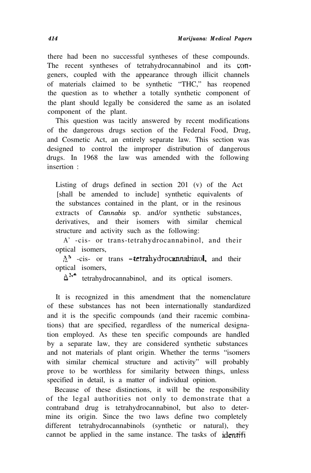there had been no successful syntheses of these compounds. The recent syntheses of tetrahydrocannabinol and its congeners, coupled with the appearance through illicit channels of materials claimed to be synthetic "THC," has reopened the question as to whether a totally synthetic component of the plant should legally be considered the same as an isolated component of the plant.

This question was tacitly answered by recent modifications of the dangerous drugs section of the Federal Food, Drug, and Cosmetic Act, an entirely separate law. This section was designed to control the improper distribution of dangerous drugs. In 1968 the law was amended with the following insertion :

Listing of drugs defined in section 201 (v) of the Act [shall be amended to include] synthetic equivalents of the substances contained in the plant, or in the resinous extracts of *Cannabis* sp. and/or synthetic substances, derivatives, and their isomers with similar chemical structure and activity such as the following:

A' -cis- or trans-tetrahydrocannabinol, and their optical isomers,

A<sup>6</sup> -cis- or trans -tetrahydrocannabinol, and their optical isomers,

 $\Delta^{1,4}$  tetrahydrocannabinol, and its optical isomers.

It is recognized in this amendment that the nomenclature of these substances has not been internationally standardized and it is the specific compounds (and their racemic combinations) that are specified, regardless of the numerical designation employed. As these ten specific compounds are handled by a separate law, they are considered synthetic substances and not materials of plant origin. Whether the terms "isomers with similar chemical structure and activity" will probably prove to be worthless for similarity between things, unless specified in detail, is a matter of individual opinion.

Because of these distinctions, it will be the responsibility of the legal authorities not only to demonstrate that a contraband drug is tetrahydrocannabinol, but also to determine its origin. Since the two laws define two completely different tetrahydrocannabinols (synthetic or natural), they cannot be applied in the same instance. The tasks of identifi